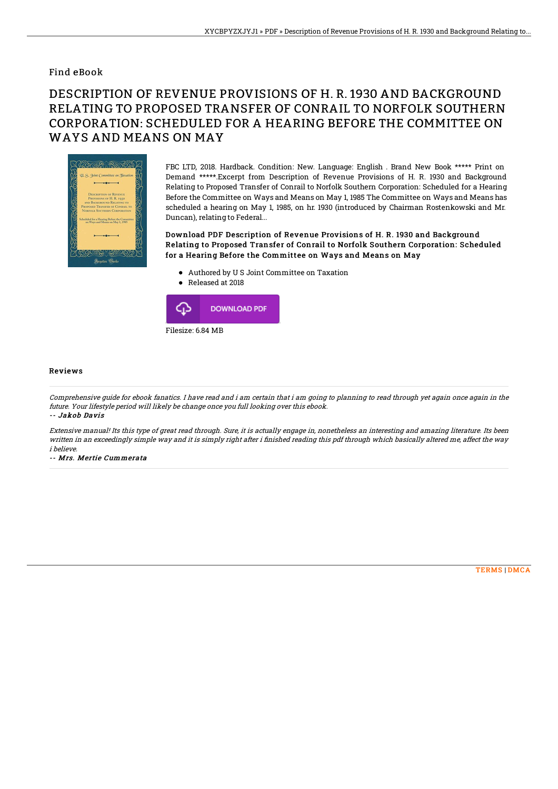## Find eBook

## DESCRIPTION OF REVENUE PROVISIONS OF H. R. 1930 AND BACKGROUND RELATING TO PROPOSED TRANSFER OF CONRAIL TO NORFOLK SOUTHERN CORPORATION: SCHEDULED FOR A HEARING BEFORE THE COMMITTEE ON WAYS AND MEANS ON MAY



FBC LTD, 2018. Hardback. Condition: New. Language: English . Brand New Book \*\*\*\*\* Print on Demand \*\*\*\*\*.Excerpt from Description of Revenue Provisions of H. R. 1930 and Background Relating to Proposed Transfer of Conrail to Norfolk Southern Corporation: Scheduled for a Hearing Before the Committee on Ways and Means on May 1, 1985 The Committee on Ways and Means has scheduled a hearing on May 1, 1985, on hr. 1930 (introduced by Chairman Rostenkowski and Mr. Duncan), relating to Federal...

Download PDF Description of Revenue Provisions of H. R. 1930 and Background Relating to Proposed Transfer of Conrail to Norfolk Southern Corporation: Scheduled for a Hearing Before the Committee on Ways and Means on May

- Authored by U S Joint Committee on Taxation
- Released at 2018



## Reviews

Comprehensive guide for ebook fanatics. I have read and i am certain that i am going to planning to read through yet again once again in the future. Your lifestyle period will likely be change once you full looking over this ebook. -- Jakob Davis

Extensive manual! Its this type of great read through. Sure, it is actually engage in, nonetheless an interesting and amazing literature. Its been written in an exceedingly simple way and it is simply right after i finished reading this pdf through which basically altered me, affect the way i believe.

-- Mrs. Mertie Cummerata